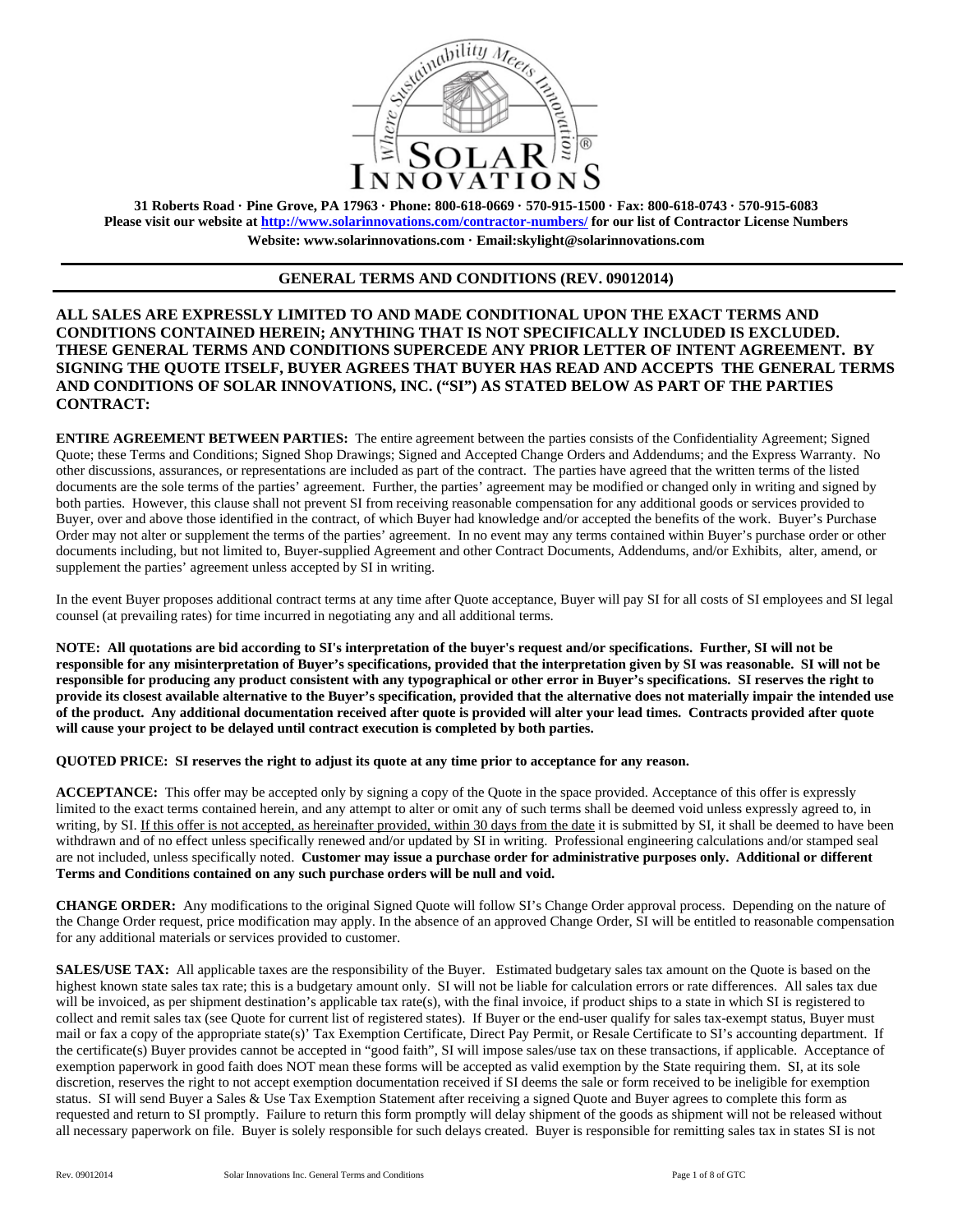

**31 Roberts Road · Pine Grove, PA 17963 · Phone: 800-618-0669 · 570-915-1500 · Fax: 800-618-0743 · 570-915-6083 Please visit our website at http://www.solarinnovations.com/contractor-numbers/ for our list of Contractor License Numbers Website: www.solarinnovations.com · Email:skylight@solarinnovations.com** 

## **GENERAL TERMS AND CONDITIONS (REV. 09012014)**

**ALL SALES ARE EXPRESSLY LIMITED TO AND MADE CONDITIONAL UPON THE EXACT TERMS AND CONDITIONS CONTAINED HEREIN; ANYTHING THAT IS NOT SPECIFICALLY INCLUDED IS EXCLUDED. THESE GENERAL TERMS AND CONDITIONS SUPERCEDE ANY PRIOR LETTER OF INTENT AGREEMENT. BY SIGNING THE QUOTE ITSELF, BUYER AGREES THAT BUYER HAS READ AND ACCEPTS THE GENERAL TERMS AND CONDITIONS OF SOLAR INNOVATIONS, INC. ("SI") AS STATED BELOW AS PART OF THE PARTIES CONTRACT:**

**ENTIRE AGREEMENT BETWEEN PARTIES:** The entire agreement between the parties consists of the Confidentiality Agreement; Signed Quote; these Terms and Conditions; Signed Shop Drawings; Signed and Accepted Change Orders and Addendums; and the Express Warranty. No other discussions, assurances, or representations are included as part of the contract. The parties have agreed that the written terms of the listed documents are the sole terms of the parties' agreement. Further, the parties' agreement may be modified or changed only in writing and signed by both parties. However, this clause shall not prevent SI from receiving reasonable compensation for any additional goods or services provided to Buyer, over and above those identified in the contract, of which Buyer had knowledge and/or accepted the benefits of the work. Buyer's Purchase Order may not alter or supplement the terms of the parties' agreement. In no event may any terms contained within Buyer's purchase order or other documents including, but not limited to, Buyer-supplied Agreement and other Contract Documents, Addendums, and/or Exhibits, alter, amend, or supplement the parties' agreement unless accepted by SI in writing.

In the event Buyer proposes additional contract terms at any time after Quote acceptance, Buyer will pay SI for all costs of SI employees and SI legal counsel (at prevailing rates) for time incurred in negotiating any and all additional terms.

**NOTE: All quotations are bid according to SI's interpretation of the buyer's request and/or specifications. Further, SI will not be responsible for any misinterpretation of Buyer's specifications, provided that the interpretation given by SI was reasonable. SI will not be responsible for producing any product consistent with any typographical or other error in Buyer's specifications. SI reserves the right to provide its closest available alternative to the Buyer's specification, provided that the alternative does not materially impair the intended use of the product. Any additional documentation received after quote is provided will alter your lead times. Contracts provided after quote will cause your project to be delayed until contract execution is completed by both parties.** 

**QUOTED PRICE: SI reserves the right to adjust its quote at any time prior to acceptance for any reason.** 

**ACCEPTANCE:** This offer may be accepted only by signing a copy of the Quote in the space provided. Acceptance of this offer is expressly limited to the exact terms contained herein, and any attempt to alter or omit any of such terms shall be deemed void unless expressly agreed to, in writing, by SI. If this offer is not accepted, as hereinafter provided, within 30 days from the date it is submitted by SI, it shall be deemed to have been withdrawn and of no effect unless specifically renewed and/or updated by SI in writing. Professional engineering calculations and/or stamped seal are not included, unless specifically noted. **Customer may issue a purchase order for administrative purposes only. Additional or different Terms and Conditions contained on any such purchase orders will be null and void.**

**CHANGE ORDER:** Any modifications to the original Signed Quote will follow SI's Change Order approval process. Depending on the nature of the Change Order request, price modification may apply. In the absence of an approved Change Order, SI will be entitled to reasonable compensation for any additional materials or services provided to customer.

**SALES/USE TAX:** All applicable taxes are the responsibility of the Buyer. Estimated budgetary sales tax amount on the Quote is based on the highest known state sales tax rate; this is a budgetary amount only. SI will not be liable for calculation errors or rate differences. All sales tax due will be invoiced, as per shipment destination's applicable tax rate(s), with the final invoice, if product ships to a state in which SI is registered to collect and remit sales tax (see Quote for current list of registered states). If Buyer or the end-user qualify for sales tax-exempt status, Buyer must mail or fax a copy of the appropriate state(s)' Tax Exemption Certificate, Direct Pay Permit, or Resale Certificate to SI's accounting department. If the certificate(s) Buyer provides cannot be accepted in "good faith", SI will impose sales/use tax on these transactions, if applicable. Acceptance of exemption paperwork in good faith does NOT mean these forms will be accepted as valid exemption by the State requiring them. SI, at its sole discretion, reserves the right to not accept exemption documentation received if SI deems the sale or form received to be ineligible for exemption status. SI will send Buyer a Sales & Use Tax Exemption Statement after receiving a signed Quote and Buyer agrees to complete this form as requested and return to SI promptly. Failure to return this form promptly will delay shipment of the goods as shipment will not be released without all necessary paperwork on file. Buyer is solely responsible for such delays created. Buyer is responsible for remitting sales tax in states SI is not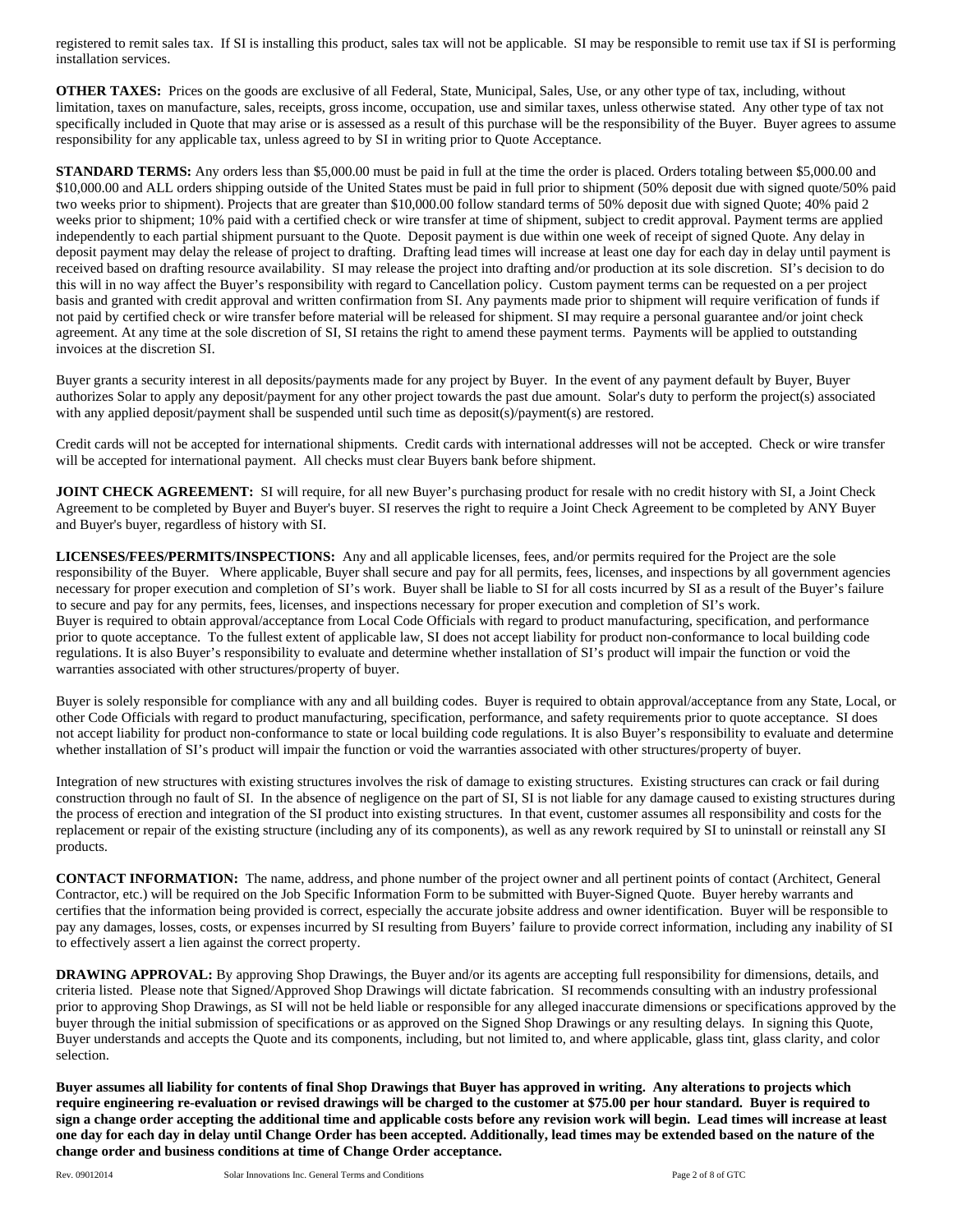registered to remit sales tax. If SI is installing this product, sales tax will not be applicable. SI may be responsible to remit use tax if SI is performing installation services.

**OTHER TAXES:** Prices on the goods are exclusive of all Federal, State, Municipal, Sales, Use, or any other type of tax, including, without limitation, taxes on manufacture, sales, receipts, gross income, occupation, use and similar taxes, unless otherwise stated. Any other type of tax not specifically included in Quote that may arise or is assessed as a result of this purchase will be the responsibility of the Buyer. Buyer agrees to assume responsibility for any applicable tax, unless agreed to by SI in writing prior to Quote Acceptance.

**STANDARD TERMS:** Any orders less than \$5,000.00 must be paid in full at the time the order is placed. Orders totaling between \$5,000.00 and \$10,000.00 and ALL orders shipping outside of the United States must be paid in full prior to shipment (50% deposit due with signed quote/50% paid two weeks prior to shipment). Projects that are greater than \$10,000.00 follow standard terms of 50% deposit due with signed Quote; 40% paid 2 weeks prior to shipment; 10% paid with a certified check or wire transfer at time of shipment, subject to credit approval. Payment terms are applied independently to each partial shipment pursuant to the Quote. Deposit payment is due within one week of receipt of signed Quote. Any delay in deposit payment may delay the release of project to drafting. Drafting lead times will increase at least one day for each day in delay until payment is received based on drafting resource availability. SI may release the project into drafting and/or production at its sole discretion. SI's decision to do this will in no way affect the Buyer's responsibility with regard to Cancellation policy. Custom payment terms can be requested on a per project basis and granted with credit approval and written confirmation from SI. Any payments made prior to shipment will require verification of funds if not paid by certified check or wire transfer before material will be released for shipment. SI may require a personal guarantee and/or joint check agreement. At any time at the sole discretion of SI, SI retains the right to amend these payment terms. Payments will be applied to outstanding invoices at the discretion SI.

Buyer grants a security interest in all deposits/payments made for any project by Buyer. In the event of any payment default by Buyer, Buyer authorizes Solar to apply any deposit/payment for any other project towards the past due amount. Solar's duty to perform the project(s) associated with any applied deposit/payment shall be suspended until such time as deposit(s)/payment(s) are restored.

Credit cards will not be accepted for international shipments. Credit cards with international addresses will not be accepted. Check or wire transfer will be accepted for international payment. All checks must clear Buyers bank before shipment.

**JOINT CHECK AGREEMENT:** SI will require, for all new Buyer's purchasing product for resale with no credit history with SI, a Joint Check Agreement to be completed by Buyer and Buyer's buyer. SI reserves the right to require a Joint Check Agreement to be completed by ANY Buyer and Buyer's buyer, regardless of history with SI.

**LICENSES/FEES/PERMITS/INSPECTIONS:** Any and all applicable licenses, fees, and/or permits required for the Project are the sole responsibility of the Buyer. Where applicable, Buyer shall secure and pay for all permits, fees, licenses, and inspections by all government agencies necessary for proper execution and completion of SI's work. Buyer shall be liable to SI for all costs incurred by SI as a result of the Buyer's failure to secure and pay for any permits, fees, licenses, and inspections necessary for proper execution and completion of SI's work. Buyer is required to obtain approval/acceptance from Local Code Officials with regard to product manufacturing, specification, and performance prior to quote acceptance. To the fullest extent of applicable law, SI does not accept liability for product non-conformance to local building code regulations. It is also Buyer's responsibility to evaluate and determine whether installation of SI's product will impair the function or void the warranties associated with other structures/property of buyer.

Buyer is solely responsible for compliance with any and all building codes. Buyer is required to obtain approval/acceptance from any State, Local, or other Code Officials with regard to product manufacturing, specification, performance, and safety requirements prior to quote acceptance. SI does not accept liability for product non-conformance to state or local building code regulations. It is also Buyer's responsibility to evaluate and determine whether installation of SI's product will impair the function or void the warranties associated with other structures/property of buyer.

Integration of new structures with existing structures involves the risk of damage to existing structures. Existing structures can crack or fail during construction through no fault of SI. In the absence of negligence on the part of SI, SI is not liable for any damage caused to existing structures during the process of erection and integration of the SI product into existing structures. In that event, customer assumes all responsibility and costs for the replacement or repair of the existing structure (including any of its components), as well as any rework required by SI to uninstall or reinstall any SI products.

**CONTACT INFORMATION:** The name, address, and phone number of the project owner and all pertinent points of contact (Architect, General Contractor, etc.) will be required on the Job Specific Information Form to be submitted with Buyer-Signed Quote. Buyer hereby warrants and certifies that the information being provided is correct, especially the accurate jobsite address and owner identification. Buyer will be responsible to pay any damages, losses, costs, or expenses incurred by SI resulting from Buyers' failure to provide correct information, including any inability of SI to effectively assert a lien against the correct property.

**DRAWING APPROVAL:** By approving Shop Drawings, the Buyer and/or its agents are accepting full responsibility for dimensions, details, and criteria listed. Please note that Signed/Approved Shop Drawings will dictate fabrication. SI recommends consulting with an industry professional prior to approving Shop Drawings, as SI will not be held liable or responsible for any alleged inaccurate dimensions or specifications approved by the buyer through the initial submission of specifications or as approved on the Signed Shop Drawings or any resulting delays. In signing this Quote, Buyer understands and accepts the Quote and its components, including, but not limited to, and where applicable, glass tint, glass clarity, and color selection.

**Buyer assumes all liability for contents of final Shop Drawings that Buyer has approved in writing. Any alterations to projects which require engineering re-evaluation or revised drawings will be charged to the customer at \$75.00 per hour standard. Buyer is required to sign a change order accepting the additional time and applicable costs before any revision work will begin. Lead times will increase at least one day for each day in delay until Change Order has been accepted. Additionally, lead times may be extended based on the nature of the change order and business conditions at time of Change Order acceptance.**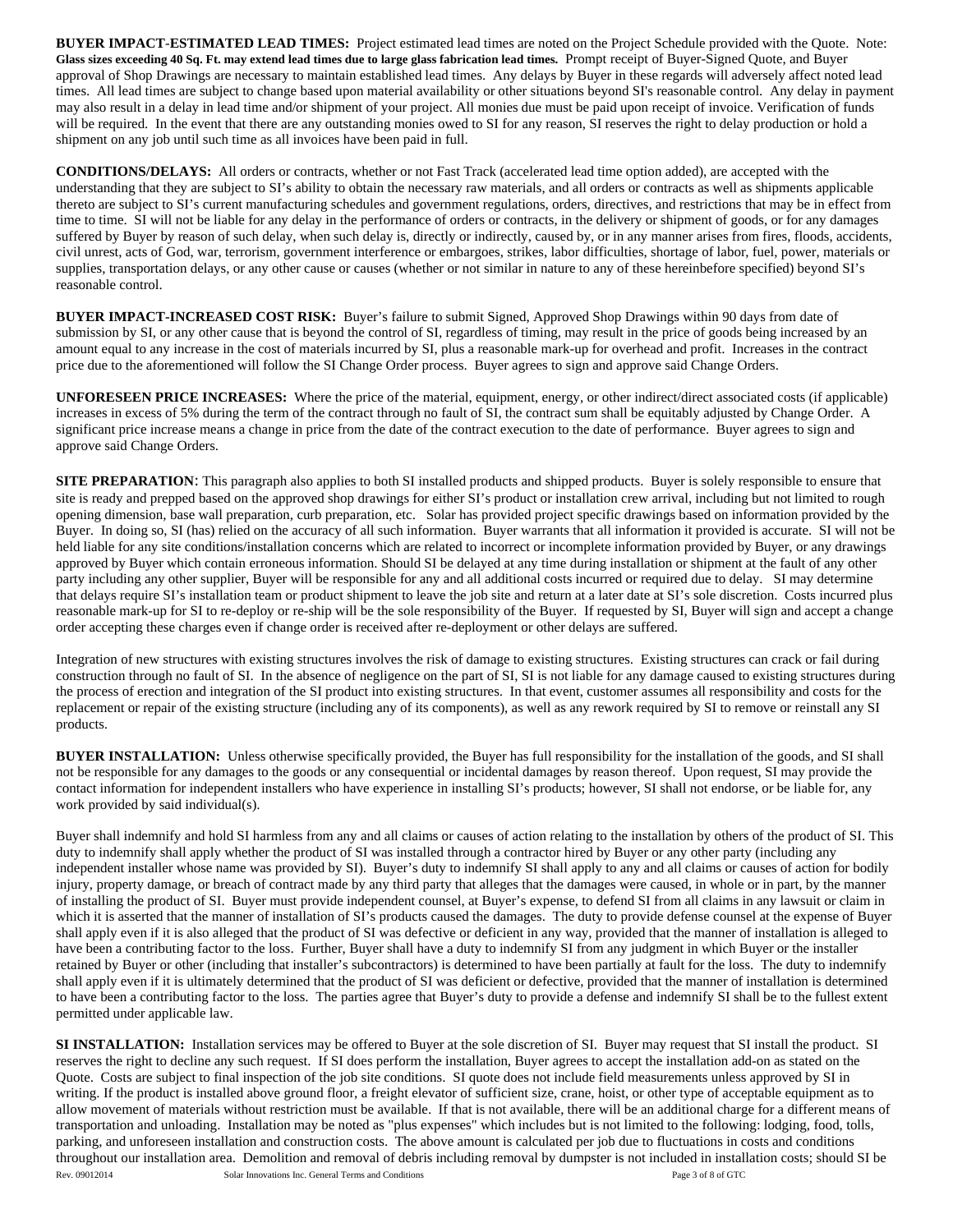**BUYER IMPACT**-**ESTIMATED LEAD TIMES:** Project estimated lead times are noted on the Project Schedule provided with the Quote. Note: **Glass sizes exceeding 40 Sq. Ft. may extend lead times due to large glass fabrication lead times.** Prompt receipt of Buyer-Signed Quote, and Buyer approval of Shop Drawings are necessary to maintain established lead times. Any delays by Buyer in these regards will adversely affect noted lead times. All lead times are subject to change based upon material availability or other situations beyond SI's reasonable control. Any delay in payment may also result in a delay in lead time and/or shipment of your project. All monies due must be paid upon receipt of invoice. Verification of funds will be required. In the event that there are any outstanding monies owed to SI for any reason, SI reserves the right to delay production or hold a shipment on any job until such time as all invoices have been paid in full.

**CONDITIONS/DELAYS:** All orders or contracts, whether or not Fast Track (accelerated lead time option added), are accepted with the understanding that they are subject to SI's ability to obtain the necessary raw materials, and all orders or contracts as well as shipments applicable thereto are subject to SI's current manufacturing schedules and government regulations, orders, directives, and restrictions that may be in effect from time to time. SI will not be liable for any delay in the performance of orders or contracts, in the delivery or shipment of goods, or for any damages suffered by Buyer by reason of such delay, when such delay is, directly or indirectly, caused by, or in any manner arises from fires, floods, accidents, civil unrest, acts of God, war, terrorism, government interference or embargoes, strikes, labor difficulties, shortage of labor, fuel, power, materials or supplies, transportation delays, or any other cause or causes (whether or not similar in nature to any of these hereinbefore specified) beyond SI's reasonable control.

**BUYER IMPACT-INCREASED COST RISK:** Buyer's failure to submit Signed, Approved Shop Drawings within 90 days from date of submission by SI, or any other cause that is beyond the control of SI, regardless of timing, may result in the price of goods being increased by an amount equal to any increase in the cost of materials incurred by SI, plus a reasonable mark-up for overhead and profit. Increases in the contract price due to the aforementioned will follow the SI Change Order process. Buyer agrees to sign and approve said Change Orders.

**UNFORESEEN PRICE INCREASES:** Where the price of the material, equipment, energy, or other indirect/direct associated costs (if applicable) increases in excess of 5% during the term of the contract through no fault of SI, the contract sum shall be equitably adjusted by Change Order. A significant price increase means a change in price from the date of the contract execution to the date of performance. Buyer agrees to sign and approve said Change Orders.

**SITE PREPARATION:** This paragraph also applies to both SI installed products and shipped products. Buyer is solely responsible to ensure that site is ready and prepped based on the approved shop drawings for either SI's product or installation crew arrival, including but not limited to rough opening dimension, base wall preparation, curb preparation, etc. Solar has provided project specific drawings based on information provided by the Buyer. In doing so, SI (has) relied on the accuracy of all such information. Buyer warrants that all information it provided is accurate. SI will not be held liable for any site conditions/installation concerns which are related to incorrect or incomplete information provided by Buyer, or any drawings approved by Buyer which contain erroneous information. Should SI be delayed at any time during installation or shipment at the fault of any other party including any other supplier, Buyer will be responsible for any and all additional costs incurred or required due to delay. SI may determine that delays require SI's installation team or product shipment to leave the job site and return at a later date at SI's sole discretion. Costs incurred plus reasonable mark-up for SI to re-deploy or re-ship will be the sole responsibility of the Buyer. If requested by SI, Buyer will sign and accept a change order accepting these charges even if change order is received after re-deployment or other delays are suffered.

Integration of new structures with existing structures involves the risk of damage to existing structures. Existing structures can crack or fail during construction through no fault of SI. In the absence of negligence on the part of SI, SI is not liable for any damage caused to existing structures during the process of erection and integration of the SI product into existing structures. In that event, customer assumes all responsibility and costs for the replacement or repair of the existing structure (including any of its components), as well as any rework required by SI to remove or reinstall any SI products.

**BUYER INSTALLATION:** Unless otherwise specifically provided, the Buyer has full responsibility for the installation of the goods, and SI shall not be responsible for any damages to the goods or any consequential or incidental damages by reason thereof. Upon request, SI may provide the contact information for independent installers who have experience in installing SI's products; however, SI shall not endorse, or be liable for, any work provided by said individual(s).

Buyer shall indemnify and hold SI harmless from any and all claims or causes of action relating to the installation by others of the product of SI. This duty to indemnify shall apply whether the product of SI was installed through a contractor hired by Buyer or any other party (including any independent installer whose name was provided by SI). Buyer's duty to indemnify SI shall apply to any and all claims or causes of action for bodily injury, property damage, or breach of contract made by any third party that alleges that the damages were caused, in whole or in part, by the manner of installing the product of SI. Buyer must provide independent counsel, at Buyer's expense, to defend SI from all claims in any lawsuit or claim in which it is asserted that the manner of installation of SI's products caused the damages. The duty to provide defense counsel at the expense of Buyer shall apply even if it is also alleged that the product of SI was defective or deficient in any way, provided that the manner of installation is alleged to have been a contributing factor to the loss. Further, Buyer shall have a duty to indemnify SI from any judgment in which Buyer or the installer retained by Buyer or other (including that installer's subcontractors) is determined to have been partially at fault for the loss. The duty to indemnify shall apply even if it is ultimately determined that the product of SI was deficient or defective, provided that the manner of installation is determined to have been a contributing factor to the loss. The parties agree that Buyer's duty to provide a defense and indemnify SI shall be to the fullest extent permitted under applicable law.

Rev. 09012014 Solar Innovations Inc. General Terms and Conditions **Page 3 of 8 of GTC SI INSTALLATION:** Installation services may be offered to Buyer at the sole discretion of SI. Buyer may request that SI install the product. SI reserves the right to decline any such request. If SI does perform the installation, Buyer agrees to accept the installation add-on as stated on the Quote. Costs are subject to final inspection of the job site conditions. SI quote does not include field measurements unless approved by SI in writing. If the product is installed above ground floor, a freight elevator of sufficient size, crane, hoist, or other type of acceptable equipment as to allow movement of materials without restriction must be available. If that is not available, there will be an additional charge for a different means of transportation and unloading. Installation may be noted as "plus expenses" which includes but is not limited to the following: lodging, food, tolls, parking, and unforeseen installation and construction costs. The above amount is calculated per job due to fluctuations in costs and conditions throughout our installation area. Demolition and removal of debris including removal by dumpster is not included in installation costs; should SI be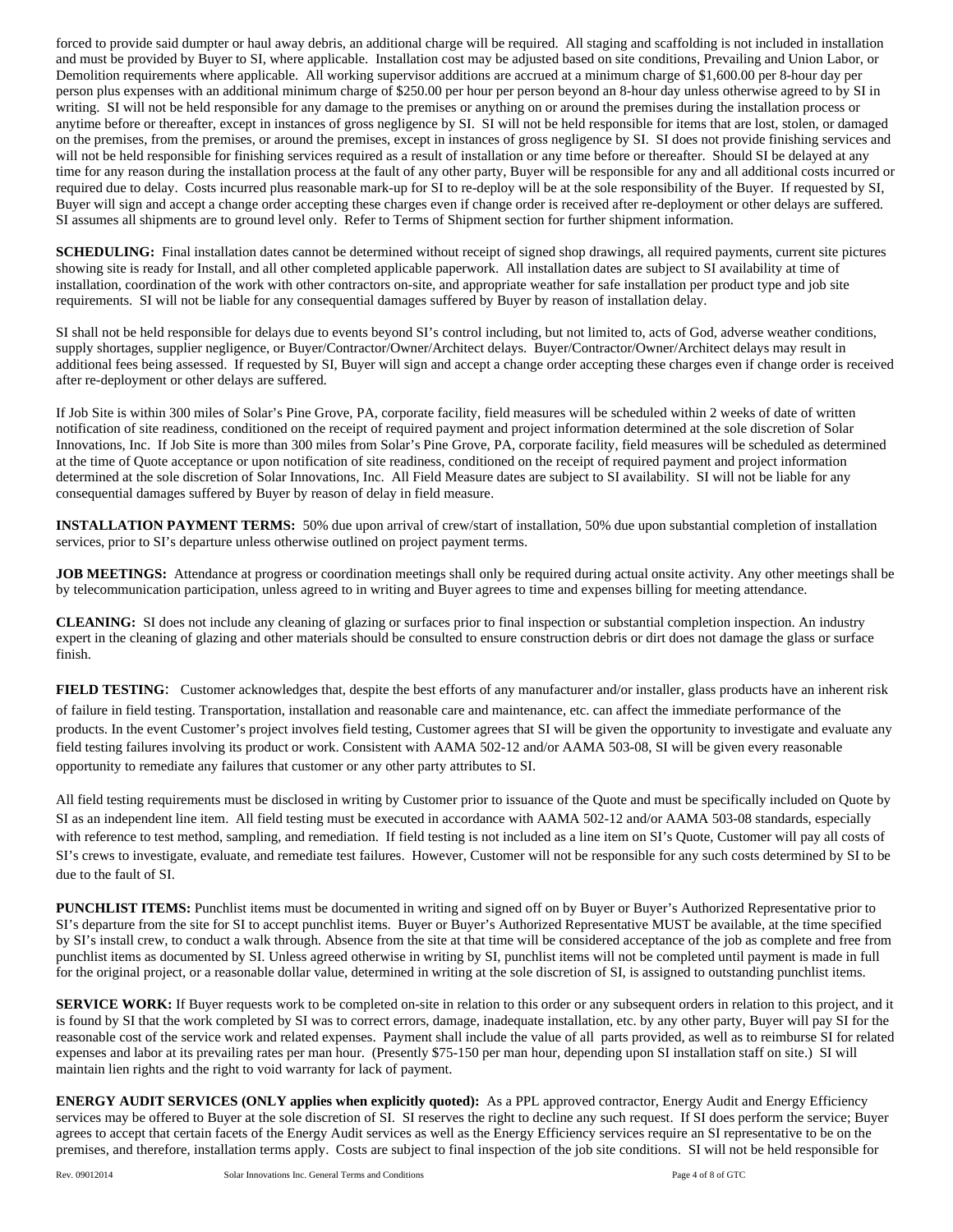forced to provide said dumpter or haul away debris, an additional charge will be required. All staging and scaffolding is not included in installation and must be provided by Buyer to SI, where applicable. Installation cost may be adjusted based on site conditions, Prevailing and Union Labor, or Demolition requirements where applicable. All working supervisor additions are accrued at a minimum charge of \$1,600.00 per 8-hour day per person plus expenses with an additional minimum charge of \$250.00 per hour per person beyond an 8-hour day unless otherwise agreed to by SI in writing. SI will not be held responsible for any damage to the premises or anything on or around the premises during the installation process or anytime before or thereafter, except in instances of gross negligence by SI. SI will not be held responsible for items that are lost, stolen, or damaged on the premises, from the premises, or around the premises, except in instances of gross negligence by SI. SI does not provide finishing services and will not be held responsible for finishing services required as a result of installation or any time before or thereafter. Should SI be delayed at any time for any reason during the installation process at the fault of any other party, Buyer will be responsible for any and all additional costs incurred or required due to delay. Costs incurred plus reasonable mark-up for SI to re-deploy will be at the sole responsibility of the Buyer. If requested by SI, Buyer will sign and accept a change order accepting these charges even if change order is received after re-deployment or other delays are suffered. SI assumes all shipments are to ground level only. Refer to Terms of Shipment section for further shipment information.

**SCHEDULING:** Final installation dates cannot be determined without receipt of signed shop drawings, all required payments, current site pictures showing site is ready for Install, and all other completed applicable paperwork. All installation dates are subject to SI availability at time of installation, coordination of the work with other contractors on-site, and appropriate weather for safe installation per product type and job site requirements. SI will not be liable for any consequential damages suffered by Buyer by reason of installation delay.

SI shall not be held responsible for delays due to events beyond SI's control including, but not limited to, acts of God, adverse weather conditions, supply shortages, supplier negligence, or Buyer/Contractor/Owner/Architect delays. Buyer/Contractor/Owner/Architect delays may result in additional fees being assessed. If requested by SI, Buyer will sign and accept a change order accepting these charges even if change order is received after re-deployment or other delays are suffered.

If Job Site is within 300 miles of Solar's Pine Grove, PA, corporate facility, field measures will be scheduled within 2 weeks of date of written notification of site readiness, conditioned on the receipt of required payment and project information determined at the sole discretion of Solar Innovations, Inc. If Job Site is more than 300 miles from Solar's Pine Grove, PA, corporate facility, field measures will be scheduled as determined at the time of Quote acceptance or upon notification of site readiness, conditioned on the receipt of required payment and project information determined at the sole discretion of Solar Innovations, Inc. All Field Measure dates are subject to SI availability. SI will not be liable for any consequential damages suffered by Buyer by reason of delay in field measure.

**INSTALLATION PAYMENT TERMS:** 50% due upon arrival of crew/start of installation, 50% due upon substantial completion of installation services, prior to SI's departure unless otherwise outlined on project payment terms.

**JOB MEETINGS:** Attendance at progress or coordination meetings shall only be required during actual onsite activity. Any other meetings shall be by telecommunication participation, unless agreed to in writing and Buyer agrees to time and expenses billing for meeting attendance.

**CLEANING:** SI does not include any cleaning of glazing or surfaces prior to final inspection or substantial completion inspection. An industry expert in the cleaning of glazing and other materials should be consulted to ensure construction debris or dirt does not damage the glass or surface finish.

**FIELD TESTING**: Customer acknowledges that, despite the best efforts of any manufacturer and/or installer, glass products have an inherent risk of failure in field testing. Transportation, installation and reasonable care and maintenance, etc. can affect the immediate performance of the products. In the event Customer's project involves field testing, Customer agrees that SI will be given the opportunity to investigate and evaluate any field testing failures involving its product or work. Consistent with AAMA 502-12 and/or AAMA 503-08, SI will be given every reasonable opportunity to remediate any failures that customer or any other party attributes to SI.

All field testing requirements must be disclosed in writing by Customer prior to issuance of the Quote and must be specifically included on Quote by SI as an independent line item. All field testing must be executed in accordance with AAMA 502-12 and/or AAMA 503-08 standards, especially with reference to test method, sampling, and remediation. If field testing is not included as a line item on SI's Quote, Customer will pay all costs of SI's crews to investigate, evaluate, and remediate test failures. However, Customer will not be responsible for any such costs determined by SI to be due to the fault of SI.

**PUNCHLIST ITEMS:** Punchlist items must be documented in writing and signed off on by Buyer or Buyer's Authorized Representative prior to SI's departure from the site for SI to accept punchlist items. Buyer or Buyer's Authorized Representative MUST be available, at the time specified by SI's install crew, to conduct a walk through. Absence from the site at that time will be considered acceptance of the job as complete and free from punchlist items as documented by SI. Unless agreed otherwise in writing by SI, punchlist items will not be completed until payment is made in full for the original project, or a reasonable dollar value, determined in writing at the sole discretion of SI, is assigned to outstanding punchlist items.

**SERVICE WORK:** If Buyer requests work to be completed on-site in relation to this order or any subsequent orders in relation to this project, and it is found by SI that the work completed by SI was to correct errors, damage, inadequate installation, etc. by any other party, Buyer will pay SI for the reasonable cost of the service work and related expenses. Payment shall include the value of all parts provided, as well as to reimburse SI for related expenses and labor at its prevailing rates per man hour. (Presently \$75-150 per man hour, depending upon SI installation staff on site.) SI will maintain lien rights and the right to void warranty for lack of payment.

**ENERGY AUDIT SERVICES (ONLY applies when explicitly quoted):** As a PPL approved contractor, Energy Audit and Energy Efficiency services may be offered to Buyer at the sole discretion of SI. SI reserves the right to decline any such request. If SI does perform the service; Buyer agrees to accept that certain facets of the Energy Audit services as well as the Energy Efficiency services require an SI representative to be on the premises, and therefore, installation terms apply. Costs are subject to final inspection of the job site conditions. SI will not be held responsible for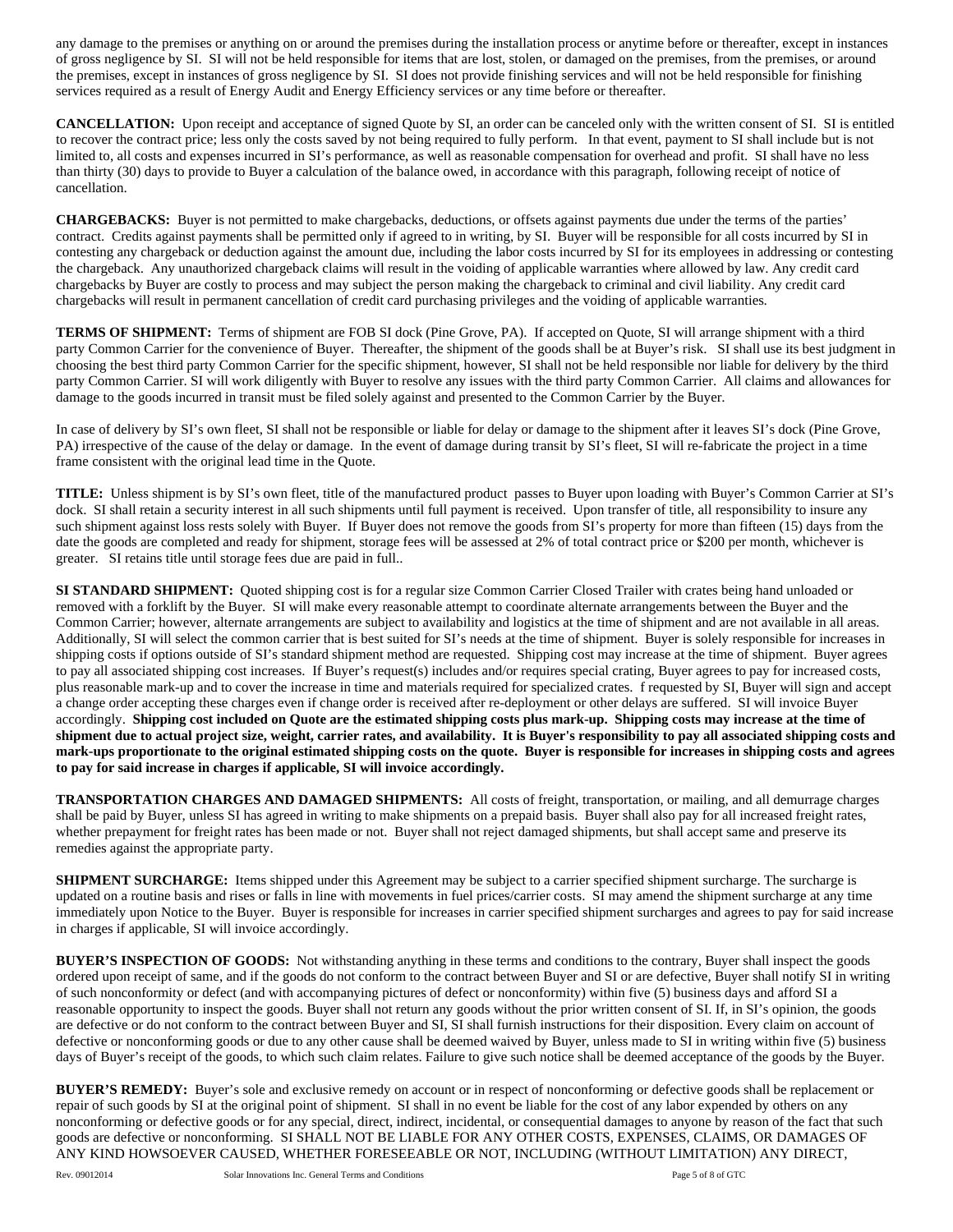any damage to the premises or anything on or around the premises during the installation process or anytime before or thereafter, except in instances of gross negligence by SI. SI will not be held responsible for items that are lost, stolen, or damaged on the premises, from the premises, or around the premises, except in instances of gross negligence by SI. SI does not provide finishing services and will not be held responsible for finishing services required as a result of Energy Audit and Energy Efficiency services or any time before or thereafter.

**CANCELLATION:** Upon receipt and acceptance of signed Quote by SI, an order can be canceled only with the written consent of SI. SI is entitled to recover the contract price; less only the costs saved by not being required to fully perform. In that event, payment to SI shall include but is not limited to, all costs and expenses incurred in SI's performance, as well as reasonable compensation for overhead and profit. SI shall have no less than thirty (30) days to provide to Buyer a calculation of the balance owed, in accordance with this paragraph, following receipt of notice of cancellation.

**CHARGEBACKS:** Buyer is not permitted to make chargebacks, deductions, or offsets against payments due under the terms of the parties' contract. Credits against payments shall be permitted only if agreed to in writing, by SI. Buyer will be responsible for all costs incurred by SI in contesting any chargeback or deduction against the amount due, including the labor costs incurred by SI for its employees in addressing or contesting the chargeback. Any unauthorized chargeback claims will result in the voiding of applicable warranties where allowed by law. Any credit card chargebacks by Buyer are costly to process and may subject the person making the chargeback to criminal and civil liability. Any credit card chargebacks will result in permanent cancellation of credit card purchasing privileges and the voiding of applicable warranties.

**TERMS OF SHIPMENT:** Terms of shipment are FOB SI dock (Pine Grove, PA). If accepted on Quote, SI will arrange shipment with a third party Common Carrier for the convenience of Buyer. Thereafter, the shipment of the goods shall be at Buyer's risk. SI shall use its best judgment in choosing the best third party Common Carrier for the specific shipment, however, SI shall not be held responsible nor liable for delivery by the third party Common Carrier. SI will work diligently with Buyer to resolve any issues with the third party Common Carrier. All claims and allowances for damage to the goods incurred in transit must be filed solely against and presented to the Common Carrier by the Buyer.

In case of delivery by SI's own fleet, SI shall not be responsible or liable for delay or damage to the shipment after it leaves SI's dock (Pine Grove, PA) irrespective of the cause of the delay or damage. In the event of damage during transit by SI's fleet, SI will re-fabricate the project in a time frame consistent with the original lead time in the Quote.

**TITLE:** Unless shipment is by SI's own fleet, title of the manufactured product passes to Buyer upon loading with Buyer's Common Carrier at SI's dock. SI shall retain a security interest in all such shipments until full payment is received. Upon transfer of title, all responsibility to insure any such shipment against loss rests solely with Buyer. If Buyer does not remove the goods from SI's property for more than fifteen (15) days from the date the goods are completed and ready for shipment, storage fees will be assessed at 2% of total contract price or \$200 per month, whichever is greater. SI retains title until storage fees due are paid in full..

**SI STANDARD SHIPMENT:** Quoted shipping cost is for a regular size Common Carrier Closed Trailer with crates being hand unloaded or removed with a forklift by the Buyer. SI will make every reasonable attempt to coordinate alternate arrangements between the Buyer and the Common Carrier; however, alternate arrangements are subject to availability and logistics at the time of shipment and are not available in all areas. Additionally, SI will select the common carrier that is best suited for SI's needs at the time of shipment. Buyer is solely responsible for increases in shipping costs if options outside of SI's standard shipment method are requested. Shipping cost may increase at the time of shipment. Buyer agrees to pay all associated shipping cost increases. If Buyer's request(s) includes and/or requires special crating, Buyer agrees to pay for increased costs, plus reasonable mark-up and to cover the increase in time and materials required for specialized crates. f requested by SI, Buyer will sign and accept a change order accepting these charges even if change order is received after re-deployment or other delays are suffered. SI will invoice Buyer accordingly. **Shipping cost included on Quote are the estimated shipping costs plus mark-up. Shipping costs may increase at the time of shipment due to actual project size, weight, carrier rates, and availability. It is Buyer's responsibility to pay all associated shipping costs and mark-ups proportionate to the original estimated shipping costs on the quote. Buyer is responsible for increases in shipping costs and agrees to pay for said increase in charges if applicable, SI will invoice accordingly.** 

**TRANSPORTATION CHARGES AND DAMAGED SHIPMENTS:** All costs of freight, transportation, or mailing, and all demurrage charges shall be paid by Buyer, unless SI has agreed in writing to make shipments on a prepaid basis. Buyer shall also pay for all increased freight rates, whether prepayment for freight rates has been made or not. Buyer shall not reject damaged shipments, but shall accept same and preserve its remedies against the appropriate party.

**SHIPMENT SURCHARGE:** Items shipped under this Agreement may be subject to a carrier specified shipment surcharge. The surcharge is updated on a routine basis and rises or falls in line with movements in fuel prices/carrier costs. SI may amend the shipment surcharge at any time immediately upon Notice to the Buyer. Buyer is responsible for increases in carrier specified shipment surcharges and agrees to pay for said increase in charges if applicable, SI will invoice accordingly.

**BUYER'S INSPECTION OF GOODS:** Not withstanding anything in these terms and conditions to the contrary, Buyer shall inspect the goods ordered upon receipt of same, and if the goods do not conform to the contract between Buyer and SI or are defective, Buyer shall notify SI in writing of such nonconformity or defect (and with accompanying pictures of defect or nonconformity) within five (5) business days and afford SI a reasonable opportunity to inspect the goods. Buyer shall not return any goods without the prior written consent of SI. If, in SI's opinion, the goods are defective or do not conform to the contract between Buyer and SI, SI shall furnish instructions for their disposition. Every claim on account of defective or nonconforming goods or due to any other cause shall be deemed waived by Buyer, unless made to SI in writing within five (5) business days of Buyer's receipt of the goods, to which such claim relates. Failure to give such notice shall be deemed acceptance of the goods by the Buyer.

**BUYER'S REMEDY:** Buyer's sole and exclusive remedy on account or in respect of nonconforming or defective goods shall be replacement or repair of such goods by SI at the original point of shipment. SI shall in no event be liable for the cost of any labor expended by others on any nonconforming or defective goods or for any special, direct, indirect, incidental, or consequential damages to anyone by reason of the fact that such goods are defective or nonconforming. SI SHALL NOT BE LIABLE FOR ANY OTHER COSTS, EXPENSES, CLAIMS, OR DAMAGES OF ANY KIND HOWSOEVER CAUSED, WHETHER FORESEEABLE OR NOT, INCLUDING (WITHOUT LIMITATION) ANY DIRECT,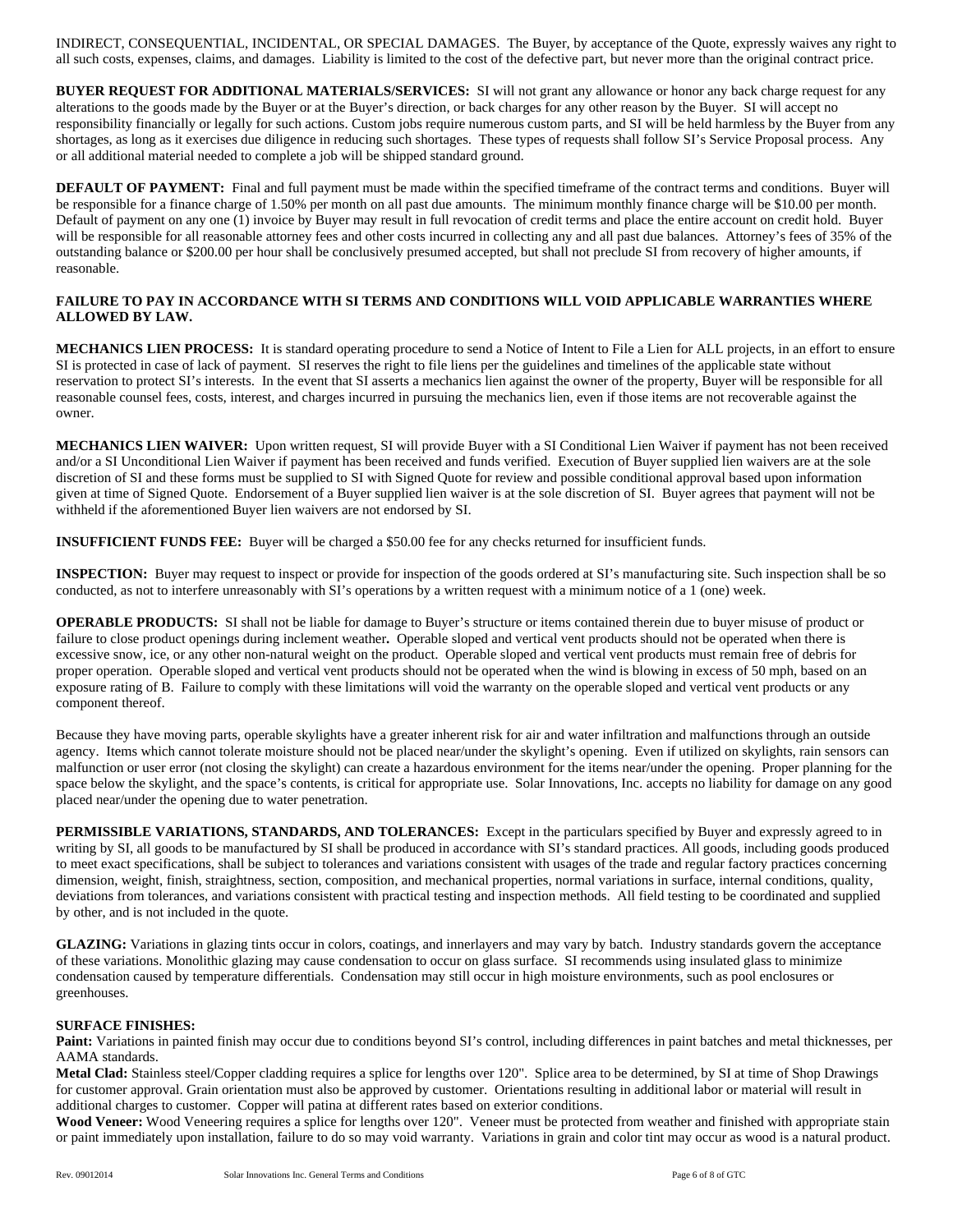INDIRECT, CONSEQUENTIAL, INCIDENTAL, OR SPECIAL DAMAGES. The Buyer, by acceptance of the Quote, expressly waives any right to all such costs, expenses, claims, and damages. Liability is limited to the cost of the defective part, but never more than the original contract price.

**BUYER REQUEST FOR ADDITIONAL MATERIALS/SERVICES:** SI will not grant any allowance or honor any back charge request for any alterations to the goods made by the Buyer or at the Buyer's direction, or back charges for any other reason by the Buyer. SI will accept no responsibility financially or legally for such actions. Custom jobs require numerous custom parts, and SI will be held harmless by the Buyer from any shortages, as long as it exercises due diligence in reducing such shortages. These types of requests shall follow SI's Service Proposal process. Any or all additional material needed to complete a job will be shipped standard ground.

**DEFAULT OF PAYMENT:** Final and full payment must be made within the specified timeframe of the contract terms and conditions. Buyer will be responsible for a finance charge of 1.50% per month on all past due amounts. The minimum monthly finance charge will be \$10.00 per month. Default of payment on any one (1) invoice by Buyer may result in full revocation of credit terms and place the entire account on credit hold. Buyer will be responsible for all reasonable attorney fees and other costs incurred in collecting any and all past due balances. Attorney's fees of 35% of the outstanding balance or \$200.00 per hour shall be conclusively presumed accepted, but shall not preclude SI from recovery of higher amounts, if reasonable.

## **FAILURE TO PAY IN ACCORDANCE WITH SI TERMS AND CONDITIONS WILL VOID APPLICABLE WARRANTIES WHERE ALLOWED BY LAW.**

**MECHANICS LIEN PROCESS:** It is standard operating procedure to send a Notice of Intent to File a Lien for ALL projects, in an effort to ensure SI is protected in case of lack of payment. SI reserves the right to file liens per the guidelines and timelines of the applicable state without reservation to protect SI's interests. In the event that SI asserts a mechanics lien against the owner of the property, Buyer will be responsible for all reasonable counsel fees, costs, interest, and charges incurred in pursuing the mechanics lien, even if those items are not recoverable against the owner.

**MECHANICS LIEN WAIVER:** Upon written request, SI will provide Buyer with a SI Conditional Lien Waiver if payment has not been received and/or a SI Unconditional Lien Waiver if payment has been received and funds verified. Execution of Buyer supplied lien waivers are at the sole discretion of SI and these forms must be supplied to SI with Signed Quote for review and possible conditional approval based upon information given at time of Signed Quote. Endorsement of a Buyer supplied lien waiver is at the sole discretion of SI. Buyer agrees that payment will not be withheld if the aforementioned Buyer lien waivers are not endorsed by SI.

**INSUFFICIENT FUNDS FEE:** Buyer will be charged a \$50.00 fee for any checks returned for insufficient funds.

**INSPECTION:** Buyer may request to inspect or provide for inspection of the goods ordered at SI's manufacturing site. Such inspection shall be so conducted, as not to interfere unreasonably with SI's operations by a written request with a minimum notice of a 1 (one) week.

**OPERABLE PRODUCTS:** SI shall not be liable for damage to Buyer's structure or items contained therein due to buyer misuse of product or failure to close product openings during inclement weather**.** Operable sloped and vertical vent products should not be operated when there is excessive snow, ice, or any other non-natural weight on the product. Operable sloped and vertical vent products must remain free of debris for proper operation. Operable sloped and vertical vent products should not be operated when the wind is blowing in excess of 50 mph, based on an exposure rating of B. Failure to comply with these limitations will void the warranty on the operable sloped and vertical vent products or any component thereof.

Because they have moving parts, operable skylights have a greater inherent risk for air and water infiltration and malfunctions through an outside agency. Items which cannot tolerate moisture should not be placed near/under the skylight's opening. Even if utilized on skylights, rain sensors can malfunction or user error (not closing the skylight) can create a hazardous environment for the items near/under the opening. Proper planning for the space below the skylight, and the space's contents, is critical for appropriate use. Solar Innovations, Inc. accepts no liability for damage on any good placed near/under the opening due to water penetration.

**PERMISSIBLE VARIATIONS, STANDARDS, AND TOLERANCES:** Except in the particulars specified by Buyer and expressly agreed to in writing by SI, all goods to be manufactured by SI shall be produced in accordance with SI's standard practices. All goods, including goods produced to meet exact specifications, shall be subject to tolerances and variations consistent with usages of the trade and regular factory practices concerning dimension, weight, finish, straightness, section, composition, and mechanical properties, normal variations in surface, internal conditions, quality, deviations from tolerances, and variations consistent with practical testing and inspection methods. All field testing to be coordinated and supplied by other, and is not included in the quote.

**GLAZING:** Variations in glazing tints occur in colors, coatings, and innerlayers and may vary by batch. Industry standards govern the acceptance of these variations. Monolithic glazing may cause condensation to occur on glass surface. SI recommends using insulated glass to minimize condensation caused by temperature differentials. Condensation may still occur in high moisture environments, such as pool enclosures or greenhouses.

## **SURFACE FINISHES:**

Paint: Variations in painted finish may occur due to conditions beyond SI's control, including differences in paint batches and metal thicknesses, per AAMA standards.

**Metal Clad:** Stainless steel/Copper cladding requires a splice for lengths over 120". Splice area to be determined, by SI at time of Shop Drawings for customer approval. Grain orientation must also be approved by customer. Orientations resulting in additional labor or material will result in additional charges to customer. Copper will patina at different rates based on exterior conditions.

Wood Veneer: Wood Veneering requires a splice for lengths over 120". Veneer must be protected from weather and finished with appropriate stain or paint immediately upon installation, failure to do so may void warranty. Variations in grain and color tint may occur as wood is a natural product.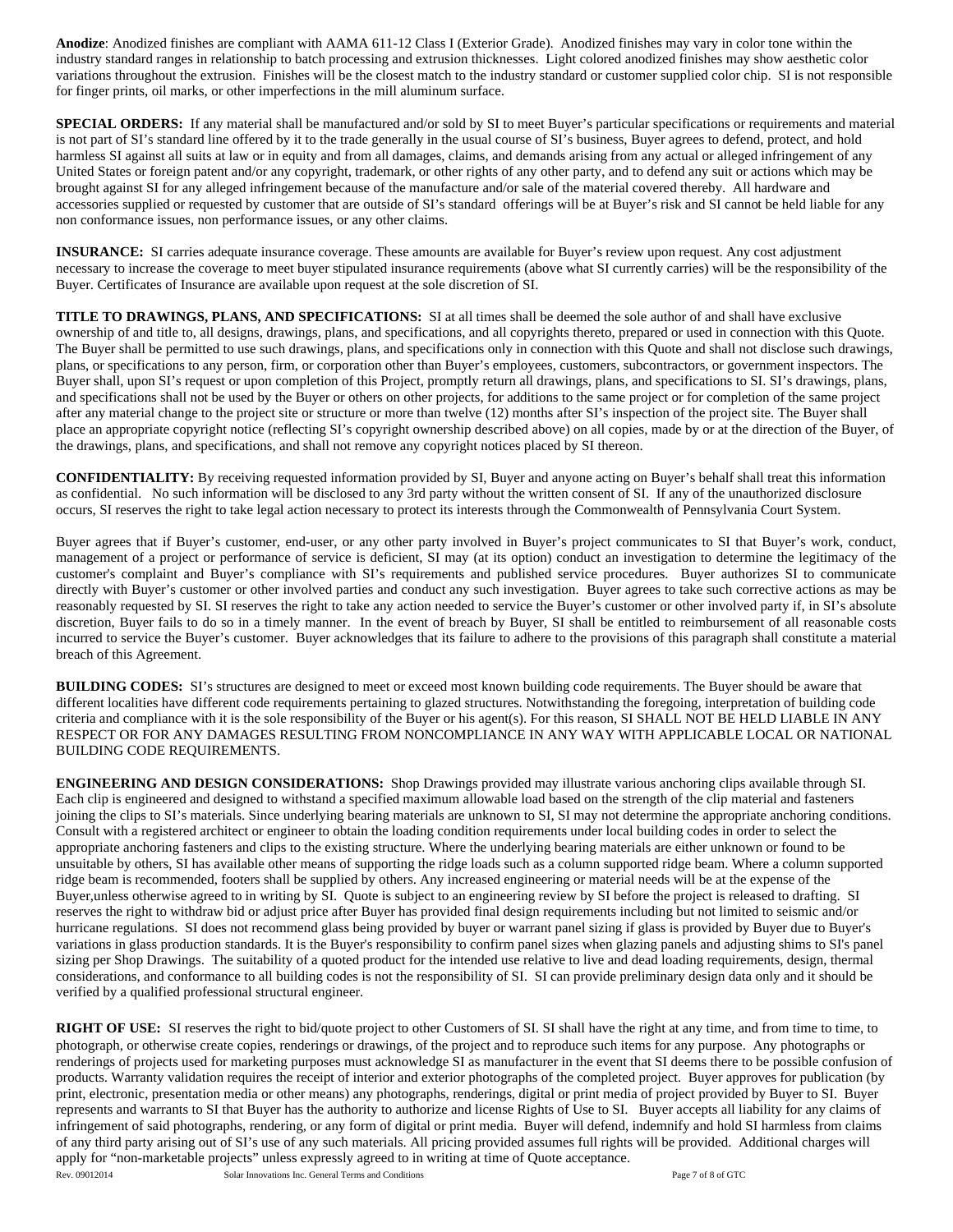**Anodize**: Anodized finishes are compliant with AAMA 611-12 Class I (Exterior Grade). Anodized finishes may vary in color tone within the industry standard ranges in relationship to batch processing and extrusion thicknesses. Light colored anodized finishes may show aesthetic color variations throughout the extrusion. Finishes will be the closest match to the industry standard or customer supplied color chip. SI is not responsible for finger prints, oil marks, or other imperfections in the mill aluminum surface.

**SPECIAL ORDERS:** If any material shall be manufactured and/or sold by SI to meet Buyer's particular specifications or requirements and material is not part of SI's standard line offered by it to the trade generally in the usual course of SI's business, Buyer agrees to defend, protect, and hold harmless SI against all suits at law or in equity and from all damages, claims, and demands arising from any actual or alleged infringement of any United States or foreign patent and/or any copyright, trademark, or other rights of any other party, and to defend any suit or actions which may be brought against SI for any alleged infringement because of the manufacture and/or sale of the material covered thereby. All hardware and accessories supplied or requested by customer that are outside of SI's standard offerings will be at Buyer's risk and SI cannot be held liable for any non conformance issues, non performance issues, or any other claims.

**INSURANCE:** SI carries adequate insurance coverage. These amounts are available for Buyer's review upon request. Any cost adjustment necessary to increase the coverage to meet buyer stipulated insurance requirements (above what SI currently carries) will be the responsibility of the Buyer. Certificates of Insurance are available upon request at the sole discretion of SI.

**TITLE TO DRAWINGS, PLANS, AND SPECIFICATIONS:** SI at all times shall be deemed the sole author of and shall have exclusive ownership of and title to, all designs, drawings, plans, and specifications, and all copyrights thereto, prepared or used in connection with this Quote. The Buyer shall be permitted to use such drawings, plans, and specifications only in connection with this Quote and shall not disclose such drawings, plans, or specifications to any person, firm, or corporation other than Buyer's employees, customers, subcontractors, or government inspectors. The Buyer shall, upon SI's request or upon completion of this Project, promptly return all drawings, plans, and specifications to SI. SI's drawings, plans, and specifications shall not be used by the Buyer or others on other projects, for additions to the same project or for completion of the same project after any material change to the project site or structure or more than twelve (12) months after SI's inspection of the project site. The Buyer shall place an appropriate copyright notice (reflecting SI's copyright ownership described above) on all copies, made by or at the direction of the Buyer, of the drawings, plans, and specifications, and shall not remove any copyright notices placed by SI thereon.

**CONFIDENTIALITY:** By receiving requested information provided by SI, Buyer and anyone acting on Buyer's behalf shall treat this information as confidential. No such information will be disclosed to any 3rd party without the written consent of SI. If any of the unauthorized disclosure occurs, SI reserves the right to take legal action necessary to protect its interests through the Commonwealth of Pennsylvania Court System.

Buyer agrees that if Buyer's customer, end-user, or any other party involved in Buyer's project communicates to SI that Buyer's work, conduct, management of a project or performance of service is deficient, SI may (at its option) conduct an investigation to determine the legitimacy of the customer's complaint and Buyer's compliance with SI's requirements and published service procedures. Buyer authorizes SI to communicate directly with Buyer's customer or other involved parties and conduct any such investigation. Buyer agrees to take such corrective actions as may be reasonably requested by SI. SI reserves the right to take any action needed to service the Buyer's customer or other involved party if, in SI's absolute discretion, Buyer fails to do so in a timely manner. In the event of breach by Buyer, SI shall be entitled to reimbursement of all reasonable costs incurred to service the Buyer's customer. Buyer acknowledges that its failure to adhere to the provisions of this paragraph shall constitute a material breach of this Agreement.

**BUILDING CODES:** SI's structures are designed to meet or exceed most known building code requirements. The Buyer should be aware that different localities have different code requirements pertaining to glazed structures. Notwithstanding the foregoing, interpretation of building code criteria and compliance with it is the sole responsibility of the Buyer or his agent(s). For this reason, SI SHALL NOT BE HELD LIABLE IN ANY RESPECT OR FOR ANY DAMAGES RESULTING FROM NONCOMPLIANCE IN ANY WAY WITH APPLICABLE LOCAL OR NATIONAL BUILDING CODE REQUIREMENTS.

**ENGINEERING AND DESIGN CONSIDERATIONS:** Shop Drawings provided may illustrate various anchoring clips available through SI. Each clip is engineered and designed to withstand a specified maximum allowable load based on the strength of the clip material and fasteners joining the clips to SI's materials. Since underlying bearing materials are unknown to SI, SI may not determine the appropriate anchoring conditions. Consult with a registered architect or engineer to obtain the loading condition requirements under local building codes in order to select the appropriate anchoring fasteners and clips to the existing structure. Where the underlying bearing materials are either unknown or found to be unsuitable by others, SI has available other means of supporting the ridge loads such as a column supported ridge beam. Where a column supported ridge beam is recommended, footers shall be supplied by others. Any increased engineering or material needs will be at the expense of the Buyer,unless otherwise agreed to in writing by SI. Quote is subject to an engineering review by SI before the project is released to drafting. SI reserves the right to withdraw bid or adjust price after Buyer has provided final design requirements including but not limited to seismic and/or hurricane regulations. SI does not recommend glass being provided by buyer or warrant panel sizing if glass is provided by Buyer due to Buyer's variations in glass production standards. It is the Buyer's responsibility to confirm panel sizes when glazing panels and adjusting shims to SI's panel sizing per Shop Drawings.The suitability of a quoted product for the intended use relative to live and dead loading requirements, design, thermal considerations, and conformance to all building codes is not the responsibility of SI. SI can provide preliminary design data only and it should be verified by a qualified professional structural engineer.

**RIGHT OF USE:** SI reserves the right to bid/quote project to other Customers of SI. SI shall have the right at any time, and from time to time, to photograph, or otherwise create copies, renderings or drawings, of the project and to reproduce such items for any purpose. Any photographs or renderings of projects used for marketing purposes must acknowledge SI as manufacturer in the event that SI deems there to be possible confusion of products. Warranty validation requires the receipt of interior and exterior photographs of the completed project. Buyer approves for publication (by print, electronic, presentation media or other means) any photographs, renderings, digital or print media of project provided by Buyer to SI. Buyer represents and warrants to SI that Buyer has the authority to authorize and license Rights of Use to SI. Buyer accepts all liability for any claims of infringement of said photographs, rendering, or any form of digital or print media. Buyer will defend, indemnify and hold SI harmless from claims of any third party arising out of SI's use of any such materials. All pricing provided assumes full rights will be provided. Additional charges will apply for "non-marketable projects" unless expressly agreed to in writing at time of Quote acceptance.

Rev. 09012014 Solar Innovations Inc. General Terms and Conditions **Page 7 of 8 of GTC**